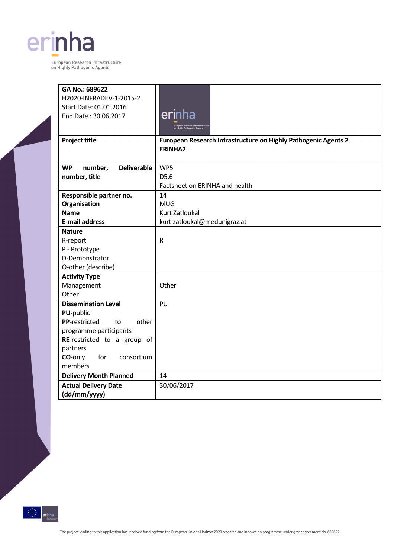

 $\sqrt{2}$ 

| GA No.: 689622                             |                                                                 |  |  |
|--------------------------------------------|-----------------------------------------------------------------|--|--|
| H2020-INFRADEV-1-2015-2                    |                                                                 |  |  |
| Start Date: 01.01.2016                     |                                                                 |  |  |
| End Date: 30.06.2017                       | erinha                                                          |  |  |
|                                            | European Research Infrastructure<br>on Highly Pathogenic Agents |  |  |
|                                            |                                                                 |  |  |
| <b>Project title</b>                       | European Research Infrastructure on Highly Pathogenic Agents 2  |  |  |
|                                            | <b>ERINHA2</b>                                                  |  |  |
|                                            |                                                                 |  |  |
| number,<br><b>Deliverable</b><br><b>WP</b> | WP5                                                             |  |  |
| number, title                              | D5.6                                                            |  |  |
|                                            | Factsheet on ERINHA and health                                  |  |  |
| Responsible partner no.                    | 14                                                              |  |  |
| Organisation                               | <b>MUG</b>                                                      |  |  |
| <b>Name</b>                                | <b>Kurt Zatloukal</b>                                           |  |  |
| <b>E-mail address</b>                      | kurt.zatloukal@medunigraz.at                                    |  |  |
| <b>Nature</b>                              |                                                                 |  |  |
| R-report                                   | ${\sf R}$                                                       |  |  |
| P - Prototype                              |                                                                 |  |  |
| D-Demonstrator                             |                                                                 |  |  |
| O-other (describe)                         |                                                                 |  |  |
| <b>Activity Type</b>                       |                                                                 |  |  |
| Management                                 | Other                                                           |  |  |
| Other                                      |                                                                 |  |  |
| <b>Dissemination Level</b>                 | PU                                                              |  |  |
| PU-public                                  |                                                                 |  |  |
| PP-restricted<br>other<br>to               |                                                                 |  |  |
| programme participants                     |                                                                 |  |  |
| RE-restricted to a group of                |                                                                 |  |  |
| partners                                   |                                                                 |  |  |
| CO-only<br>for<br>consortium               |                                                                 |  |  |
| members                                    |                                                                 |  |  |
| <b>Delivery Month Planned</b>              | 14                                                              |  |  |
| <b>Actual Delivery Date</b>                | 30/06/2017                                                      |  |  |
| (dd/mm/yyyy)                               |                                                                 |  |  |